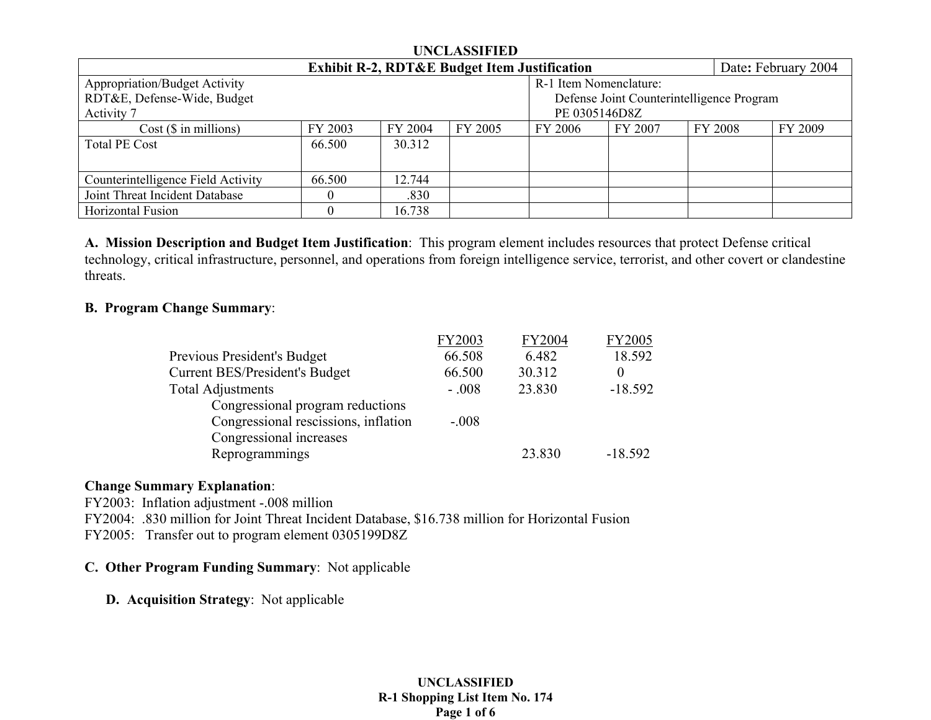| <b>UNCLASSIFIED</b>                                                            |               |         |                                           |         |         |  |                |         |  |
|--------------------------------------------------------------------------------|---------------|---------|-------------------------------------------|---------|---------|--|----------------|---------|--|
| <b>Exhibit R-2, RDT&amp;E Budget Item Justification</b><br>Date: February 2004 |               |         |                                           |         |         |  |                |         |  |
| <b>Appropriation/Budget Activity</b><br>R-1 Item Nomenclature:                 |               |         |                                           |         |         |  |                |         |  |
| RDT&E, Defense-Wide, Budget                                                    |               |         | Defense Joint Counterintelligence Program |         |         |  |                |         |  |
| Activity 7                                                                     | PE 0305146D8Z |         |                                           |         |         |  |                |         |  |
| $Cost$ ( $\$\$ in millions)                                                    | FY 2003       | FY 2004 | FY 2005                                   | FY 2006 | FY 2007 |  | <b>FY 2008</b> | FY 2009 |  |
| <b>Total PE Cost</b>                                                           | 66.500        | 30.312  |                                           |         |         |  |                |         |  |
|                                                                                |               |         |                                           |         |         |  |                |         |  |
| Counterintelligence Field Activity                                             | 66.500        | 12.744  |                                           |         |         |  |                |         |  |
| Joint Threat Incident Database                                                 |               | .830    |                                           |         |         |  |                |         |  |
| Horizontal Fusion                                                              |               | 16.738  |                                           |         |         |  |                |         |  |

**A. Mission Description and Budget Item Justification**: This program element includes resources that protect Defense critical technology, critical infrastructure, personnel, and operations from foreign intelligence service, terrorist, and other covert or clandestine threats.

## **B. Program Change Summary**:

|                                       | FY2003  | FY2004 | <b>FY2005</b> |
|---------------------------------------|---------|--------|---------------|
| Previous President's Budget           | 66.508  | 6.482  | 18.592        |
| <b>Current BES/President's Budget</b> | 66.500  | 30.312 | $\theta$      |
| <b>Total Adjustments</b>              | $-.008$ | 23.830 | $-18.592$     |
| Congressional program reductions      |         |        |               |
| Congressional rescissions, inflation  | $-.008$ |        |               |
| Congressional increases               |         |        |               |
| Reprogrammings                        |         | 23.830 | $-18.592$     |
|                                       |         |        |               |

#### **Change Summary Explanation**:

FY2003: Inflation adjustment -.008 million

FY2004: .830 million for Joint Threat Incident Database, \$16.738 million for Horizontal Fusion

FY2005: Transfer out to program element 0305199D8Z

## **C. Other Program Funding Summary**: Not applicable

**D. Acquisition Strategy**: Not applicable

#### **UNCLASSIFIED R-1 Shopping List Item No. 174 Page 1 of 6**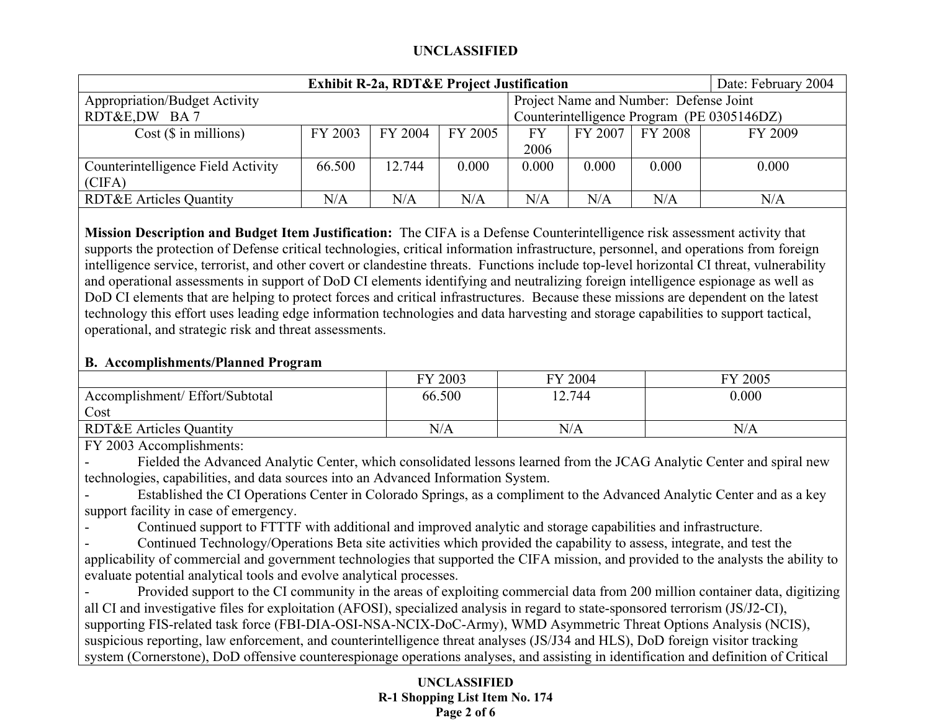| Date: February 2004<br><b>Exhibit R-2a, RDT&amp;E Project Justification</b> |                                            |         |         |       |           |                                        |           |  |  |
|-----------------------------------------------------------------------------|--------------------------------------------|---------|---------|-------|-----------|----------------------------------------|-----------|--|--|
| <b>Appropriation/Budget Activity</b>                                        |                                            |         |         |       |           | Project Name and Number: Defense Joint |           |  |  |
| RDT&E,DW BA7                                                                | Counterintelligence Program (PE 0305146DZ) |         |         |       |           |                                        |           |  |  |
| $Cost$ ( $\$\$ in millions)                                                 | FY 2003                                    | FY 2004 | FY 2005 | FY    | $FY$ 2007 | FY 2008                                | FY 2009   |  |  |
|                                                                             |                                            |         |         | 2006  |           |                                        |           |  |  |
| Counterintelligence Field Activity                                          | 66.500                                     | 12.744  | 0.000   | 0.000 | 0.000     | 0.000                                  | 0.000     |  |  |
| (CIFA)                                                                      |                                            |         |         |       |           |                                        |           |  |  |
| <b>RDT&amp;E Articles Quantity</b>                                          | $\rm N/A$                                  | N/A     | N/A     | N/A   | N/A       | N/A                                    | $\rm N/A$ |  |  |

**Mission Description and Budget Item Justification:** The CIFA is a Defense Counterintelligence risk assessment activity that supports the protection of Defense critical technologies, critical information infrastructure, personnel, and operations from foreign intelligence service, terrorist, and other covert or clandestine threats. Functions include top-level horizontal CI threat, vulnerability and operational assessments in support of DoD CI elements identifying and neutralizing foreign intelligence espionage as well as DoD CI elements that are helping to protect forces and critical infrastructures. Because these missions are dependent on the latest technology this effort uses leading edge information technologies and data harvesting and storage capabilities to support tactical, operational, and strategic risk and threat assessments.

# **B. Accomplishments/Planned Program**

|                                    | FY 2003 | 2004<br>FV | FY 2005 |
|------------------------------------|---------|------------|---------|
| Accomplishment/ Effort/Subtotal    | 66.500  | 12.744     | 0.000   |
| Cost                               |         |            |         |
| <b>RDT&amp;E Articles Quantity</b> | N/A     | N/A        | N/A     |

FY 2003 Accomplishments:

 Fielded the Advanced Analytic Center, which consolidated lessons learned from the JCAG Analytic Center and spiral new technologies, capabilities, and data sources into an Advanced Information System.

- Established the CI Operations Center in Colorado Springs, as a compliment to the Advanced Analytic Center and as a key support facility in case of emergency.

-Continued support to FTTTF with additional and improved analytic and storage capabilities and infrastructure.

- Continued Technology/Operations Beta site activities which provided the capability to assess, integrate, and test the applicability of commercial and government technologies that supported the CIFA mission, and provided to the analysts the ability to evaluate potential analytical tools and evolve analytical processes.

- Provided support to the CI community in the areas of exploiting commercial data from 200 million container data, digitizing all CI and investigative files for exploitation (AFOSI), specialized analysis in regard to state-sponsored terrorism (JS/J2-CI), supporting FIS-related task force (FBI-DIA-OSI-NSA-NCIX-DoC-Army), WMD Asymmetric Threat Options Analysis (NCIS), suspicious reporting, law enforcement, and counterintelligence threat analyses (JS/J34 and HLS), DoD foreign visitor tracking system (Cornerstone), DoD offensive counterespionage operations analyses, and assisting in identification and definition of Critical

## **UNCLASSIFIED R-1 Shopping List Item No. 174 Page 2 of 6**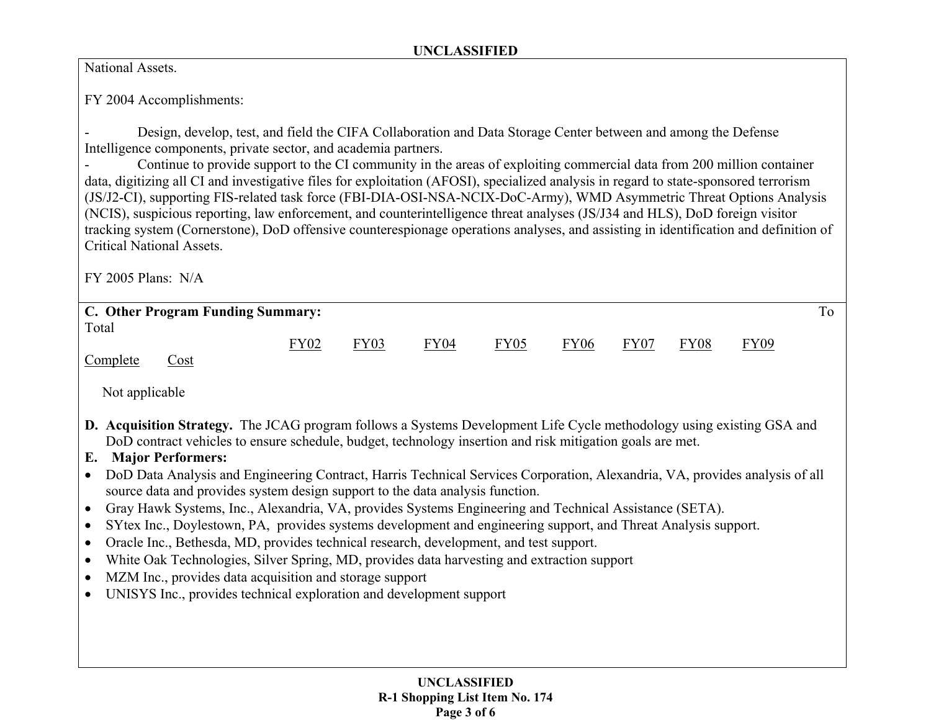National Assets.

FY 2004 Accomplishments:

 Design, develop, test, and field the CIFA Collaboration and Data Storage Center between and among the Defense Intelligence components, private sector, and academia partners.

- Continue to provide support to the CI community in the areas of exploiting commercial data from 200 million container data, digitizing all CI and investigative files for exploitation (AFOSI), specialized analysis in regard to state-sponsored terrorism (JS/J2-CI), supporting FIS-related task force (FBI-DIA-OSI-NSA-NCIX-DoC-Army), WMD Asymmetric Threat Options Analysis (NCIS), suspicious reporting, law enforcement, and counterintelligence threat analyses (JS/J34 and HLS), DoD foreign visitor tracking system (Cornerstone), DoD offensive counterespionage operations analyses, and assisting in identification and definition of Critical National Assets.

FY 2005 Plans: N/A

|                | C. Other Program Funding Summary:                                                                                            |             |             |                  |                  |             |             |             |             | To |
|----------------|------------------------------------------------------------------------------------------------------------------------------|-------------|-------------|------------------|------------------|-------------|-------------|-------------|-------------|----|
| Total          |                                                                                                                              |             |             |                  |                  |             |             |             |             |    |
|                |                                                                                                                              | <b>FY02</b> | <b>FY03</b> | FY <sub>04</sub> | FY <sub>05</sub> | <b>FY06</b> | <b>FY07</b> | <b>FY08</b> | <b>FY09</b> |    |
| Complete       | Cost                                                                                                                         |             |             |                  |                  |             |             |             |             |    |
|                |                                                                                                                              |             |             |                  |                  |             |             |             |             |    |
| Not applicable |                                                                                                                              |             |             |                  |                  |             |             |             |             |    |
|                |                                                                                                                              |             |             |                  |                  |             |             |             |             |    |
|                | <b>D. Acquisition Strategy.</b> The JCAG program follows a Systems Development Life Cycle methodology using existing GSA and |             |             |                  |                  |             |             |             |             |    |
|                |                                                                                                                              |             |             |                  |                  |             |             |             |             |    |
|                | DoD contract vehicles to ensure schedule, budget, technology insertion and risk mitigation goals are met.                    |             |             |                  |                  |             |             |             |             |    |
| Е.             | <b>Major Performers:</b>                                                                                                     |             |             |                  |                  |             |             |             |             |    |
|                | DoD Data Analysis and Engineering Contract, Harris Technical Services Corporation, Alexandria, VA, provides analysis of all  |             |             |                  |                  |             |             |             |             |    |
|                | source data and provides system design support to the data analysis function.                                                |             |             |                  |                  |             |             |             |             |    |
| $\bullet$      | Gray Hawk Systems, Inc., Alexandria, VA, provides Systems Engineering and Technical Assistance (SETA).                       |             |             |                  |                  |             |             |             |             |    |
| $\bullet$      | SYtex Inc., Doylestown, PA, provides systems development and engineering support, and Threat Analysis support.               |             |             |                  |                  |             |             |             |             |    |
|                |                                                                                                                              |             |             |                  |                  |             |             |             |             |    |
| $\bullet$      | Oracle Inc., Bethesda, MD, provides technical research, development, and test support.                                       |             |             |                  |                  |             |             |             |             |    |
| $\bullet$      | White Oak Technologies, Silver Spring, MD, provides data harvesting and extraction support                                   |             |             |                  |                  |             |             |             |             |    |
| $\bullet$      | MZM Inc., provides data acquisition and storage support                                                                      |             |             |                  |                  |             |             |             |             |    |
|                | UNISYS Inc., provides technical exploration and development support                                                          |             |             |                  |                  |             |             |             |             |    |
|                |                                                                                                                              |             |             |                  |                  |             |             |             |             |    |
|                |                                                                                                                              |             |             |                  |                  |             |             |             |             |    |
|                |                                                                                                                              |             |             |                  |                  |             |             |             |             |    |
|                |                                                                                                                              |             |             |                  |                  |             |             |             |             |    |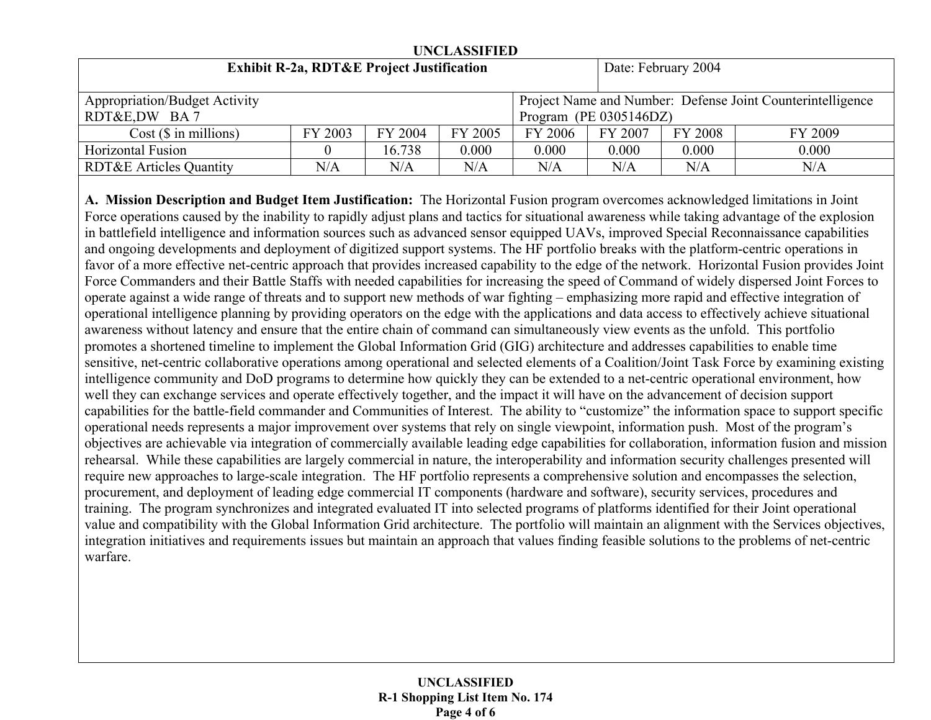| UNCLASSIFIED                                         |         |                                                            |         |                           |           |                     |         |
|------------------------------------------------------|---------|------------------------------------------------------------|---------|---------------------------|-----------|---------------------|---------|
| <b>Exhibit R-2a, RDT&amp;E Project Justification</b> |         |                                                            |         |                           |           | Date: February 2004 |         |
| <b>Appropriation/Budget Activity</b>                 |         | Project Name and Number: Defense Joint Counterintelligence |         |                           |           |                     |         |
| RDT&E,DW BA7                                         |         |                                                            |         | Program (PE $0305146DZ$ ) |           |                     |         |
| $Cost$ ( $\$\$ in millions)                          | FY 2003 | FY 2004                                                    | FY 2005 | FY 2006                   | FY 2007   | FY 2008             | FY 2009 |
| Horizontal Fusion                                    |         | 16.738                                                     | 0.000   | 0.000                     | 0.000     | 0.000               | 0.000   |
| <b>RDT&amp;E Articles Quantity</b>                   | N/A     | $\rm N/A$                                                  | N/A     | N/A                       | $\rm N/A$ | N/A                 | N/A     |

**A. Mission Description and Budget Item Justification:** The Horizontal Fusion program overcomes acknowledged limitations in Joint Force operations caused by the inability to rapidly adjust plans and tactics for situational awareness while taking advantage of the explosion in battlefield intelligence and information sources such as advanced sensor equipped UAVs, improved Special Reconnaissance capabilities and ongoing developments and deployment of digitized support systems. The HF portfolio breaks with the platform-centric operations in favor of a more effective net-centric approach that provides increased capability to the edge of the network. Horizontal Fusion provides Joint Force Commanders and their Battle Staffs with needed capabilities for increasing the speed of Command of widely dispersed Joint Forces to operate against a wide range of threats and to support new methods of war fighting – emphasizing more rapid and effective integration of operational intelligence planning by providing operators on the edge with the applications and data access to effectively achieve situational awareness without latency and ensure that the entire chain of command can simultaneously view events as the unfold. This portfolio promotes a shortened timeline to implement the Global Information Grid (GIG) architecture and addresses capabilities to enable time sensitive, net-centric collaborative operations among operational and selected elements of a Coalition/Joint Task Force by examining existing intelligence community and DoD programs to determine how quickly they can be extended to a net-centric operational environment, how well they can exchange services and operate effectively together, and the impact it will have on the advancement of decision support capabilities for the battle-field commander and Communities of Interest. The ability to "customize" the information space to support specific operational needs represents a major improvement over systems that rely on single viewpoint, information push. Most of the program's objectives are achievable via integration of commercially available leading edge capabilities for collaboration, information fusion and mission rehearsal. While these capabilities are largely commercial in nature, the interoperability and information security challenges presented will require new approaches to large-scale integration. The HF portfolio represents a comprehensive solution and encompasses the selection, procurement, and deployment of leading edge commercial IT components (hardware and software), security services, procedures and training. The program synchronizes and integrated evaluated IT into selected programs of platforms identified for their Joint operational value and compatibility with the Global Information Grid architecture. The portfolio will maintain an alignment with the Services objectives, integration initiatives and requirements issues but maintain an approach that values finding feasible solutions to the problems of net-centric warfare.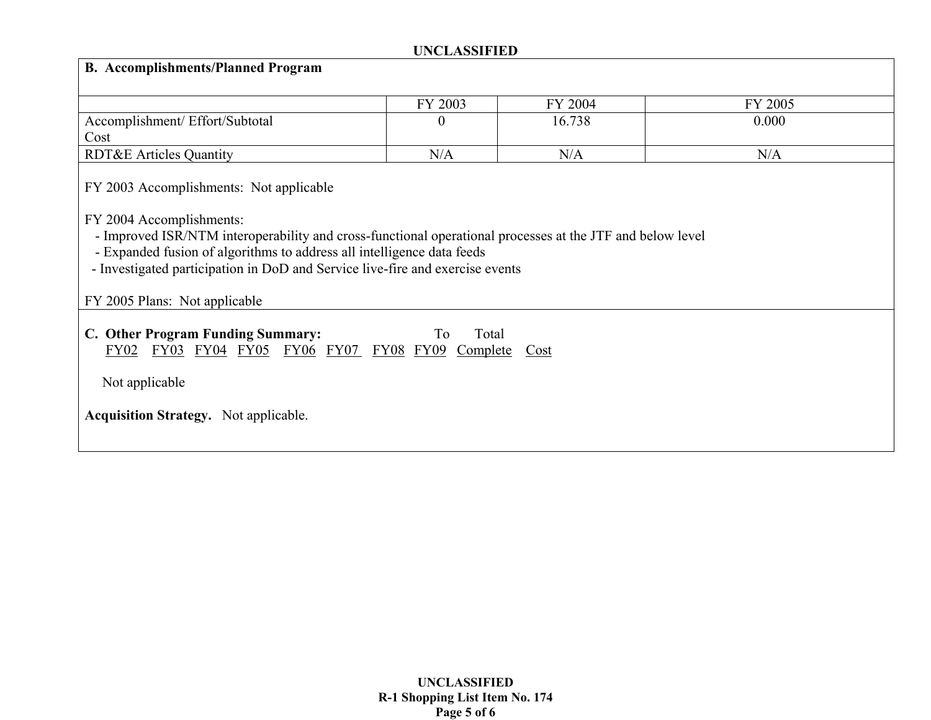| <b>B.</b> Accomplishments/Planned Program                                                                                                                                                                                                                                                                                                                                    |          |         |         |  |  |  |  |  |
|------------------------------------------------------------------------------------------------------------------------------------------------------------------------------------------------------------------------------------------------------------------------------------------------------------------------------------------------------------------------------|----------|---------|---------|--|--|--|--|--|
|                                                                                                                                                                                                                                                                                                                                                                              | FY 2003  | FY 2004 | FY 2005 |  |  |  |  |  |
| Accomplishment/ Effort/Subtotal<br>Cost                                                                                                                                                                                                                                                                                                                                      | $\theta$ | 16.738  | 0.000   |  |  |  |  |  |
| <b>RDT&amp;E Articles Quantity</b>                                                                                                                                                                                                                                                                                                                                           | N/A      | N/A     | N/A     |  |  |  |  |  |
| FY 2003 Accomplishments: Not applicable<br>FY 2004 Accomplishments:<br>- Improved ISR/NTM interoperability and cross-functional operational processes at the JTF and below level<br>- Expanded fusion of algorithms to address all intelligence data feeds<br>- Investigated participation in DoD and Service live-fire and exercise events<br>FY 2005 Plans: Not applicable |          |         |         |  |  |  |  |  |
| C. Other Program Funding Summary:<br>Total<br>To<br>FY03 FY04 FY05 FY06 FY07 FY08 FY09<br>FY02<br>Complete<br>$\frac{\text{Cost}}{\text{Cost}}$<br>Not applicable<br><b>Acquisition Strategy.</b> Not applicable.                                                                                                                                                            |          |         |         |  |  |  |  |  |